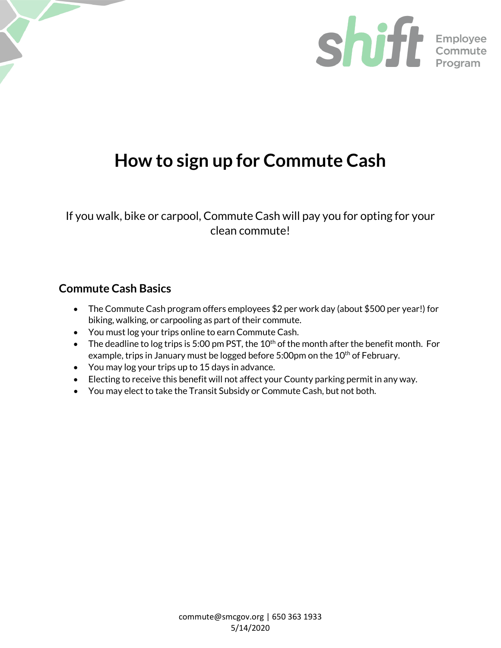

# **How to sign up for Commute Cash**

If you walk, bike or carpool, Commute Cash will pay you for opting for your clean commute!

# **Commute Cash Basics**

- The Commute Cash program offers employees \$2 per work day (about \$500 per year!) for biking, walking, or carpooling as part of their commute.
- You must log your trips online to earn Commute Cash.
- $\bullet$  The deadline to log trips is 5:00 pm PST, the 10<sup>th</sup> of the month after the benefit month. For example, trips in January must be logged before 5:00pm on the 10<sup>th</sup> of February.
- You may log your trips up to 15 days in advance.
- Electing to receive this benefit will not affect your County parking permit in any way.
- You may elect to take the Transit Subsidy or Commute Cash, but not both.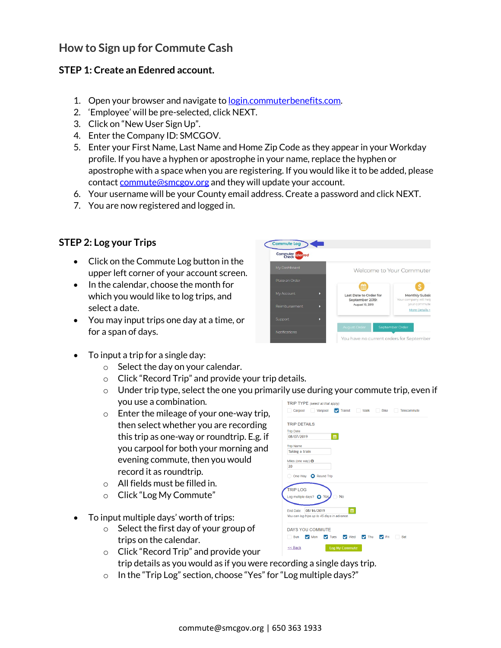# **How to Sign up for Commute Cash**

### **STEP 1: Create an Edenred account.**

- 1. Open your browser and navigate t[o login.commuterbenefits.com.](https://login.commuterbenefits.com/)
- 2. 'Employee' will be pre-selected, click NEXT.
- 3. Click on "New User Sign Up".
- 4. Enter the Company ID: SMCGOV.
- 5. Enter your First Name, Last Name and Home Zip Code as they appear in your Workday profile. If you have a hyphen or apostrophe in your name, replace the hyphen or apostrophe with a space when you are registering. If you would like it to be added, please contac[t commute@smcgov.org](mailto:commute@smcgov.org) and they will update your account.
- 6. Your username will be your County email address. Create a password and click NEXT.
- 7. You are now registered and logged in.

# **STEP 2: Log your Trips**

- Click on the Commute Log button in the upper left corner of your account screen.
- In the calendar, choose the month for which you would like to log trips, and select a date.
- You may input trips one day at a time, or for a span of days.



- To input a trip for a single day:
	- $\circ$  Select the day on your calendar.
	- o Click "Record Trip" and provide your trip details.
	- $\circ$  Under trip type, select the one you primarily use during your commute trip, even if you use a combination.
	- o Enter the mileage of your one-way trip, then select whether you are recording this trip as one-way or roundtrip. E.g. if you carpool for both your morning and evening commute, then you would record it as roundtrip.
	- o All fields must be filled in.
	- o Click "Log My Commute"
- To input multiple days' worth of trips:
	- o Select the first day of your group of trips on the calendar.
	- o Click "Record Trip" and provide your trip details as you would as if you were recording a single days trip.
	- o In the "Trip Log" section, choose "Yes" for "Log multiple days?"

| TRIP TYPE (select all that apply)<br>V Transit Walk<br>Carpool<br>Vanpool<br><b>Bike</b><br>Telecommute |
|---------------------------------------------------------------------------------------------------------|
| <b>TRIP DETAILS</b>                                                                                     |
| <b>Trip Date</b>                                                                                        |
| 曲<br>08/07/2019                                                                                         |
| <b>Trip Name</b>                                                                                        |
| Taking a train                                                                                          |
|                                                                                                         |
| Miles (one way) $\Theta$                                                                                |
| 20                                                                                                      |
| One Way <b>Q</b> Round Trip                                                                             |
|                                                                                                         |
| <b>TRIP LOG</b>                                                                                         |
| Log multiple days? O Yes<br><b>No</b>                                                                   |
|                                                                                                         |
| 巤<br>08/16/2019<br>Fnd Date:                                                                            |
| You can log trips up to 45 days in advance.                                                             |
|                                                                                                         |
| <b>DAYS YOU COMMUTE</b>                                                                                 |
| V Tues V Wed V Thu<br>Sun<br>$\vee$ Mon<br>Fri<br>Sat<br>$\checkmark$                                   |
| << Back<br><b>Log My Commute</b>                                                                        |